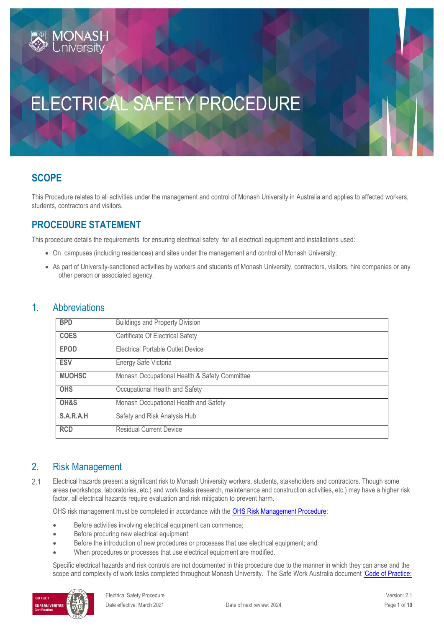# ELECTRICAL SAFETY PROCEDURE

# **SCOPE**

This Procedure relates to all activities under the management and control of Monash University in Australia and applies to affected workers, students, contractors and visitors.

# **PROCEDURE STATEMENT**

**JONASH** 

This procedure details the requirements for ensuring electrical safety for all electrical equipment and installations used:

- On campuses (including residences) and sites under the management and control of Monash University;
- As part of University-sanctioned activities by workers and students of Monash University, contractors, visitors, hire companies or any other person or associated agency.

### 1. Abbreviations

| <b>BPD</b>    | <b>Buildings and Property Division</b>        |
|---------------|-----------------------------------------------|
| <b>COES</b>   | <b>Certificate Of Electrical Safety</b>       |
| <b>EPOD</b>   | Electrical Portable Outlet Device             |
| <b>ESV</b>    | Energy Safe Victoria                          |
| <b>MUOHSC</b> | Monash Occupational Health & Safety Committee |
| <b>OHS</b>    | Occupational Health and Safety                |
| OH&S          | Monash Occupational Health and Safety         |
| S.A.R.A.H     | Safety and Risk Analysis Hub                  |
| <b>RCD</b>    | <b>Residual Current Device</b>                |

### 2. Risk Management

 $2.1$ Electrical hazards present a significant risk to Monash University workers, students, stakeholders and contractors. Though some areas (workshops, laboratories, etc.) and work tasks (research, maintenance and construction activities, etc.) may have a higher risk factor, all electrical hazards require evaluation and risk mitigation to prevent harm.

OHS risk management must be completed in accordance with th[e OHS Risk Management Procedure:](https://publicpolicydms.monash.edu/Monash/documents/1935636)

- Before activities involving electrical equipment can commence;
- Before procuring new electrical equipment;
- Before the introduction of new procedures or processes that use electrical equipment; and
- When procedures or processes that use electrical equipment are modified.

Specific electrical hazards and risk controls are not documented in this procedure due to the manner in which they can arise and the scope and complexity of work tasks completed throughout Monash University. The Safe Work Australia document 'Code of Practice:

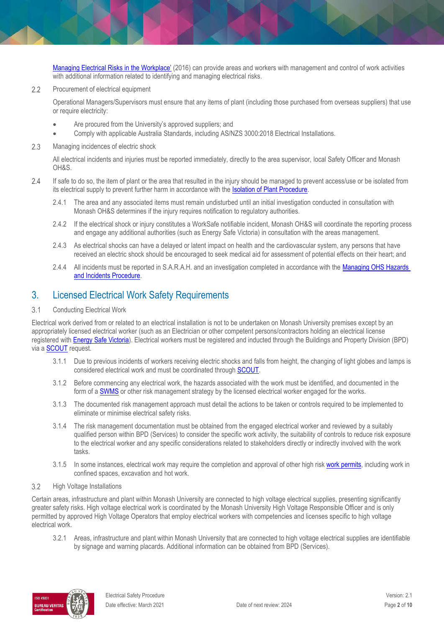[Managing Electrical Risks in the](https://www.safeworkaustralia.gov.au/doc/model-code-practice-managing-electrical-risks-workplace) Workplace' (2016) can provide areas and workers with management and control of work activities with additional information related to identifying and managing electrical risks.

 $2.2$ Procurement of electrical equipment

> Operational Managers/Supervisors must ensure that any items of plant (including those purchased from overseas suppliers) that use or require electricity:

- Are procured from the University's approved suppliers; and
- Comply with applicable Australia Standards, including AS/NZS 3000:2018 Electrical Installations.
- $2.3$ Managing incidences of electric shock

All electrical incidents and injuries must be reported immediately, directly to the area supervisor, local Safety Officer and Monash OH&S.

- 2.4 If safe to do so, the item of plant or the area that resulted in the injury should be managed to prevent access/use or be isolated from its electrical supply to prevent further harm in accordance with the **Isolation of Plant Procedure**.
	- 2.4.1 The area and any associated items must remain undisturbed until an initial investigation conducted in consultation with Monash OH&S determines if the injury requires notification to regulatory authorities.
	- 2.4.2 If the electrical shock or injury constitutes a [WorkSafe notifiable incident,](https://www.worksafe.vic.gov.au/resources/guide-incident-notification) Monash OH&S will coordinate the reporting process and engage any additional authorities (such as Energy Safe Victoria) in consultation with the areas management.
	- 2.4.3 As electrical shocks can have a delayed or latent impact on health and the cardiovascular system, any persons that have received an electric shock should be encouraged to seek medical aid for assessment of potential effects on their heart; and
	- 2.4.4 All incidents must be reported in S.A.R.A.H. and an investigation completed in accordance with the [Managing OHS Hazards](https://publicpolicydms.monash.edu/Monash/documents/1935623)  [and Incidents Procedure.](https://publicpolicydms.monash.edu/Monash/documents/1935623)

### 3. Licensed Electrical Work Safety Requirements

 $3.1$ Conducting Electrical Work

Electrical work derived from or related to an electrical installation is not to be undertaken on Monash University premises except by an appropriately licensed electrical worker (such as an Electrician or other competent persons/contractors holding an electrical license registered with [Energy Safe Victoria\)](https://www.esv.vic.gov.au/). Electrical workers must be registered and inducted through the Buildings and Property Division (BPD) via a [SCOUT](https://www.intranet.monash/bpd/home/scoutportal) request.

- 3.1.1 Due to previous incidents of workers receiving electric shocks and falls from height, the changing of light globes and lamps is considered electrical work and must be coordinated throug[h SCOUT.](https://www.intranet.monash/bpd/home/scoutportal)
- 3.1.2 Before commencing any electrical work, the hazards associated with the work must be identified, and documented in the form of a **[SWMS](https://content.api.worksafe.vic.gov.au/sites/default/files/2018-11/ISBN-Safe-work-method-statements-2018-11.pdf)** or other risk management strategy by the licensed electrical worker engaged for the works.
- 3.1.3 The documented risk management approach must detail the actions to be taken or controls required to be implemented to eliminate or minimise electrical safety risks.
- 3.1.4 The risk management documentation must be obtained from the engaged electrical worker and reviewed by a suitably qualified person within BPD (Services) to consider the specific work activity, the suitability of controls to reduce risk exposure to the electrical worker and any specific considerations related to stakeholders directly or indirectly involved with the work tasks.
- 3.1.5 In some instances, electrical work may require the completion and approval of other high risk [work permits,](https://www.monash.edu/contractors/permits2) including work in confined spaces, excavation and hot work.
- $3.2$ High Voltage Installations

Certain areas, infrastructure and plant within Monash University are connected to high voltage electrical supplies, presenting significantly greater safety risks. High voltage electrical work is coordinated by the Monash University High Voltage Responsible Officer and is only permitted by approved High Voltage Operators that employ electrical workers with competencies and licenses specific to high voltage electrical work.

3.2.1 Areas, infrastructure and plant within Monash University that are connected to high voltage electrical supplies are identifiable by signage and warning placards. Additional information can be obtained from BPD (Services).

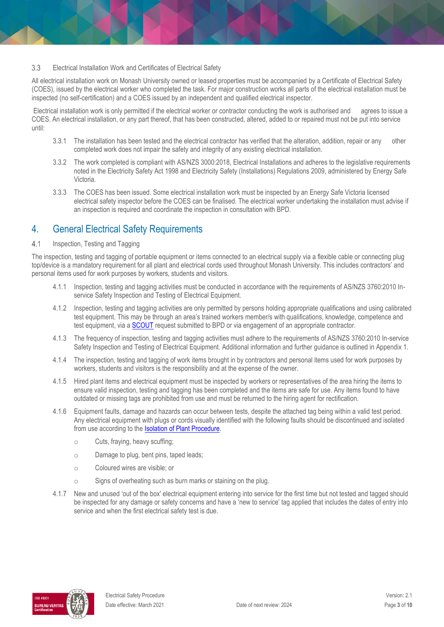#### 3.3 Electrical Installation Work and Certificates of Electrical Safety

All electrical installation work on Monash University owned or leased properties must be accompanied by a Certificate of Electrical Safety (COES), issued by the electrical worker who completed the task. For major construction works all parts of the electrical installation must be inspected (no self-certification) and a COES issued by an independent and qualified electrical inspector.

Electrical installation work is only permitted if the electrical worker or contractor conducting the work is authorised and agrees to issue a COES. An electrical installation, or any part thereof, that has been constructed, altered, added to or repaired must not be put into service until:

- 3.3.1 The installation has been tested and the electrical contractor has verified that the alteration, addition, repair or any other completed work does not impair the safety and integrity of any existing electrical installation.
- 3.3.2 The work completed is compliant with AS/NZS 3000:2018, Electrical Installations and adheres to the legislative requirements noted in the Electricity Safety Act 1998 and Electricity Safety (Installations) Regulations 2009, administered by Energy Safe Victoria.
- 3.3.3 The COES has been issued. Some electrical installation work must be inspected by an Energy Safe Victoria licensed electrical safety inspector before the COES can be finalised. The electrical worker undertaking the installation must advise if an inspection is required and coordinate the inspection in consultation with BPD.

### 4. General Electrical Safety Requirements

#### $4.1$ Inspection, Testing and Tagging

The inspection, testing and tagging of portable equipment or items connected to an electrical supply via a flexible cable or connecting plug top/device is a mandatory requirement for all plant and electrical cords used throughout Monash University. This includes contractors' and personal items used for work purposes by workers, students and visitors.

- 4.1.1 Inspection, testing and tagging activities must be conducted in accordance with the requirements of AS/NZS 3760:2010 Inservice Safety Inspection and Testing of Electrical Equipment.
- 4.1.2 Inspection, testing and tagging activities are only permitted by persons holding appropriate qualifications and using calibrated test equipment. This may be through an area's trained workers member/s with qualifications, knowledge, competence and test equipment, via a [SCOUT](https://www.intranet.monash/bpd/home/scoutportal) request submitted to BPD or via engagement of an appropriate contractor.
- 4.1.3 The frequency of inspection, testing and tagging activities must adhere to the requirements of AS/NZS 3760:2010 In-service Safety Inspection and Testing of Electrical Equipment. Additional information and further guidance is outlined in Appendix 1.
- 4.1.4 The inspection, testing and tagging of work items brought in by contractors and personal items used for work purposes by workers, students and visitors is the responsibility and at the expense of the owner.
- 4.1.5 Hired plant items and electrical equipment must be inspected by workers or representatives of the area hiring the items to ensure valid inspection, testing and tagging has been completed and the items are safe for use. Any items found to have outdated or missing tags are prohibited from use and must be returned to the hiring agent for rectification.
- 4.1.6 Equipment faults, damage and hazards can occur between tests, despite the attached tag being within a valid test period. Any electrical equipment with plugs or cords visually identified with the following faults should be discontinued and isolated from use according to the [Isolation of Plant Procedure.](https://publicpolicydms.monash.edu/Monash/documents/1935617)
	- o Cuts, fraying, heavy scuffing;
	- o Damage to plug, bent pins, taped leads;
	- o Coloured wires are visible; or
	- o Signs of overheating such as burn marks or staining on the plug.
- 4.1.7 New and unused 'out of the box' electrical equipment entering into service for the first time but not tested and tagged should be inspected for any damage or safety concerns and have a 'new to service' tag applied that includes the dates of entry into service and when the first electrical safety test is due.

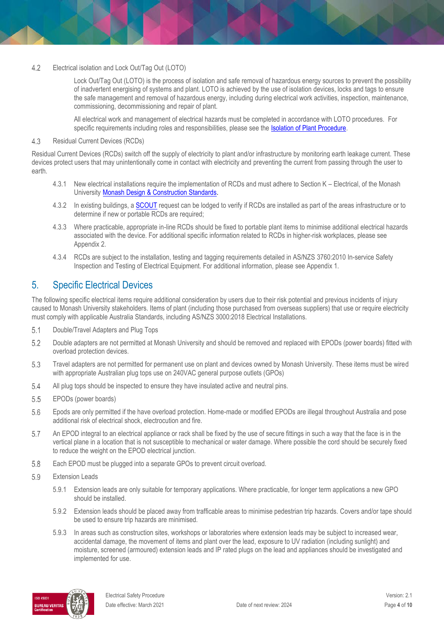#### $4.2$ Electrical isolation and Lock Out/Tag Out (LOTO)

Lock Out/Tag Out (LOTO) is the process of isolation and safe removal of hazardous energy sources to prevent the possibility of inadvertent energising of systems and plant. LOTO is achieved by the use of isolation devices, locks and tags to ensure the safe management and removal of hazardous energy, including during electrical work activities, inspection, maintenance, commissioning, decommissioning and repair of plant.

All electrical work and management of electrical hazards must be completed in accordance with LOTO procedures. For specific requirements including roles and responsibilities, please see the **Isolation of Plant Procedure**.

#### 4.3 Residual Current Devices (RCDs)

Residual Current Devices (RCDs) switch off the supply of electricity to plant and/or infrastructure by monitoring earth leakage current. These devices protect users that may unintentionally come in contact with electricity and preventing the current from passing through the user to earth.

- 4.3.1 New electrical installations require the implementation of RCDs and must adhere to Section K Electrical, of the Monash University [Monash Design & Construction Standards.](https://www.monash.edu/contractors/monash-design-and-construction-standards)
- 4.3.2 In existing buildings, a **SCOUT** request can be lodged to verify if RCDs are installed as part of the areas infrastructure or to determine if new or portable RCDs are required;
- 4.3.3 Where practicable, appropriate in-line RCDs should be fixed to portable plant items to minimise additional electrical hazards associated with the device. For additional specific information related to RCDs in higher-risk workplaces, please see Appendix 2.
- 4.3.4 RCDs are subject to the installation, testing and tagging requirements detailed in AS/NZS 3760:2010 In-service Safety Inspection and Testing of Electrical Equipment. For additional information, please see Appendix 1.

### 5. Specific Electrical Devices

The following specific electrical items require additional consideration by users due to their risk potential and previous incidents of injury caused to Monash University stakeholders. Items of plant (including those purchased from overseas suppliers) that use or require electricity must comply with applicable Australia Standards, including AS/NZS 3000:2018 Electrical Installations.

- $5.1$ Double/Travel Adapters and Plug Tops
- 5.2 Double adapters are not permitted at Monash University and should be removed and replaced with EPODs (power boards) fitted with overload protection devices.
- 5.3 Travel adapters are not permitted for permanent use on plant and devices owned by Monash University. These items must be wired with appropriate Australian plug tops use on 240VAC general purpose outlets (GPOs)
- 5.4 All plug tops should be inspected to ensure they have insulated active and neutral pins.
- 5.5 EPODs (power boards)
- Epods are only permitted if the have overload protection. Home-made or modified EPODs are illegal throughout Australia and pose 5.6 additional risk of electrical shock, electrocution and fire.
- 5.7 An EPOD integral to an electrical appliance or rack shall be fixed by the use of secure fittings in such a way that the face is in the vertical plane in a location that is not susceptible to mechanical or water damage. Where possible the cord should be securely fixed to reduce the weight on the EPOD electrical junction.
- 5.8 Each EPOD must be plugged into a separate GPOs to prevent circuit overload.
- 5.9 Extension Leads
	- 5.9.1 Extension leads are only suitable for temporary applications. Where practicable, for longer term applications a new GPO should be installed.
	- 5.9.2 Extension leads should be placed away from trafficable areas to minimise pedestrian trip hazards. Covers and/or tape should be used to ensure trip hazards are minimised.
	- 5.9.3 In areas such as construction sites, workshops or laboratories where extension leads may be subject to increased wear, accidental damage, the movement of items and plant over the lead, exposure to UV radiation (including sunlight) and moisture, screened (armoured) extension leads and IP rated plugs on the lead and appliances should be investigated and implemented for use.

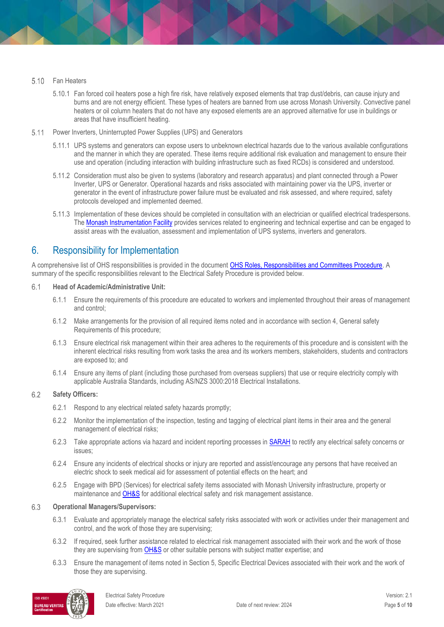#### Fan Heaters  $5.10$

- 5.10.1 Fan forced coil heaters pose a high fire risk, have relatively exposed elements that trap dust/debris, can cause injury and burns and are not energy efficient. These types of heaters are banned from use across Monash University. Convective panel heaters or oil column heaters that do not have any exposed elements are an approved alternative for use in buildings or areas that have insufficient heating.
- $5.11$ Power Inverters, Uninterrupted Power Supplies (UPS) and Generators
	- 5.11.1 UPS systems and generators can expose users to unbeknown electrical hazards due to the various available configurations and the manner in which they are operated. These items require additional risk evaluation and management to ensure their use and operation (including interaction with building infrastructure such as fixed RCDs) is considered and understood.
	- 5.11.2 Consideration must also be given to systems (laboratory and research apparatus) and plant connected through a Power Inverter, UPS or Generator. Operational hazards and risks associated with maintaining power via the UPS, inverter or generator in the event of infrastructure power failure must be evaluated and risk assessed, and where required, safety protocols developed and implemented deemed.
	- 5.11.3 Implementation of these devices should be completed in consultation with an electrician or qualified electrical tradespersons. The **[Monash Instrumentation Facility](https://www.monash.edu/researchinfrastructure/mif)** provides services related to engineering and technical expertise and can be engaged to assist areas with the evaluation, assessment and implementation of UPS systems, inverters and generators.

### 6. Responsibility for Implementation

A comprehensive list of OHS responsibilities is provided in the document OHS Roles, [Responsibilities and Committees Procedure.](https://publicpolicydms.monash.edu/Monash/documents/1935644) A summary of the specific responsibilities relevant to the Electrical Safety Procedure is provided below.

#### $6.1$ **Head of Academic/Administrative Unit:**

- 6.1.1 Ensure the requirements of this procedure are educated to workers and implemented throughout their areas of management and control;
- 6.1.2 Make arrangements for the provision of all required items noted and in accordance with section 4, General safety Requirements of this procedure;
- 6.1.3 Ensure electrical risk management within their area adheres to the requirements of this procedure and is consistent with the inherent electrical risks resulting from work tasks the area and its workers members, stakeholders, students and contractors are exposed to; and
- 6.1.4 Ensure any items of plant (including those purchased from overseas suppliers) that use or require electricity comply with applicable Australia Standards, including AS/NZS 3000:2018 Electrical Installations.

#### 6.2 **Safety Officers:**

- 6.2.1 Respond to any electrical related safety hazards promptly;
- 6.2.2 Monitor the implementation of the inspection, testing and tagging of electrical plant items in their area and the general management of electrical risks;
- 6.2.3 Take appropriate actions via hazard and incident reporting processes in [SARAH](https://www.monash.edu/ohs/sarah) to rectify any electrical safety concerns or issues;
- 6.2.4 Ensure any incidents of electrical shocks or injury are reported and assist/encourage any persons that have received an electric shock to seek medical aid for assessment of potential effects on the heart; and
- 6.2.5 Engage wit[h BPD \(Services\)](https://www.intranet.monash/bpd/departments/services) for electrical safety items associated with Monash University infrastructure, property or maintenance an[d OH&S](https://www.monash.edu/ohs/AboutUs) for additional electrical safety and risk management assistance.

#### 6.3 **Operational Managers/Supervisors:**

- 6.3.1 Evaluate and appropriately manage the electrical safety risks associated with work or activities under their management and control, and the work of those they are supervising;
- 6.3.2 If required, seek further assistance related to electrical risk management associated with their work and the work of those they are supervising fro[m OH&S](https://www.monash.edu/ohs/AboutUs) or other suitable persons with subject matter expertise; and
- 6.3.3 Ensure the management of items noted in Section 5, Specific Electrical Devices associated with their work and the work of those they are supervising.

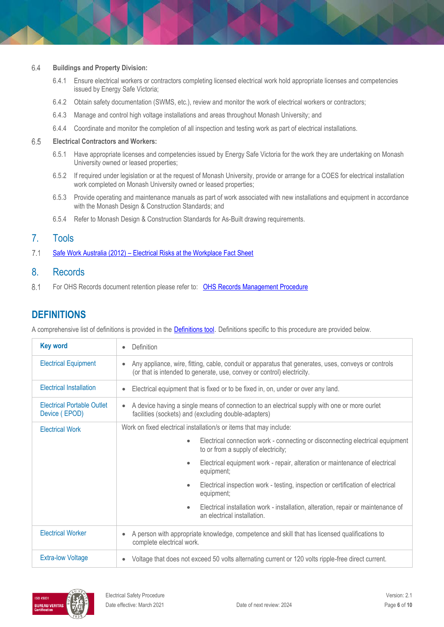#### 6.4 **Buildings and Property Division:**

- 6.4.1 Ensure electrical workers or contractors completing licensed electrical work hold appropriate licenses and competencies issued by Energy Safe Victoria;
- 6.4.2 Obtain safety documentation (SWMS, etc.), review and monitor the work of electrical workers or contractors;
- 6.4.3 Manage and control high voltage installations and areas throughout Monash University; and
- 6.4.4 Coordinate and monitor the completion of all inspection and testing work as part of electrical installations.

#### 6.5 **Electrical Contractors and Workers:**

- 6.5.1 Have appropriate licenses and competencies issued by Energy Safe Victoria for the work they are undertaking on Monash University owned or leased properties;
- 6.5.2 If required under legislation or at the request of Monash University, provide or arrange for a COES for electrical installation work completed on Monash University owned or leased properties;
- 6.5.3 Provide operating and maintenance manuals as part of work associated with new installations and equipment in accordance with the [Monash Design & Construction Standards;](https://www.monash.edu/contractors/monash-design-and-construction-standards/mdcs-section-standards) and
- 6.5.4 Refer t[o Monash Design & Construction Standards](https://www.monash.edu/contractors/monash-design-and-construction-standards/mdcs-section-standards) for As-Built drawing requirements.

### 7. Tools

 $7.1$ Safe Work Australia (2012) – [Electrical Risks at the Workplace Fact Sheet](https://www.safeworkaustralia.gov.au/system/files/documents/1702/electrical-risks.pdf)

### 8. Records

8.1 For OHS Records document retention please refer to: [OHS Records Management Procedure](https://publicpolicydms.monash.edu/Monash/documents/1935642)

### **DEFINITIONS**

A comprehensive list of definitions is provided in the [Definitions tool](http://www.monash.edu/__data/assets/pdf_file/0018/113742/ohs-document-definitions.pdf). Definitions specific to this procedure are provided below.

| <b>Key word</b>                                    | Definition                                                                                                                                                                    |  |  |  |
|----------------------------------------------------|-------------------------------------------------------------------------------------------------------------------------------------------------------------------------------|--|--|--|
| <b>Electrical Equipment</b>                        | Any appliance, wire, fitting, cable, conduit or apparatus that generates, uses, conveys or controls<br>(or that is intended to generate, use, convey or control) electricity. |  |  |  |
| <b>Electrical Installation</b>                     | Electrical equipment that is fixed or to be fixed in, on, under or over any land.                                                                                             |  |  |  |
| <b>Electrical Portable Outlet</b><br>Device (EPOD) | A device having a single means of connection to an electrical supply with one or more ourlet<br>facilities (sockets) and (excluding double-adapters)                          |  |  |  |
| <b>Electrical Work</b>                             | Work on fixed electrical installation/s or items that may include:                                                                                                            |  |  |  |
|                                                    | Electrical connection work - connecting or disconnecting electrical equipment<br>$\bullet$<br>to or from a supply of electricity;                                             |  |  |  |
|                                                    | Electrical equipment work - repair, alteration or maintenance of electrical<br>$\bullet$<br>equipment;                                                                        |  |  |  |
|                                                    | Electrical inspection work - testing, inspection or certification of electrical<br>$\bullet$<br>equipment;                                                                    |  |  |  |
|                                                    | Electrical installation work - installation, alteration, repair or maintenance of<br>$\bullet$<br>an electrical installation.                                                 |  |  |  |
| <b>Electrical Worker</b>                           | A person with appropriate knowledge, competence and skill that has licensed qualifications to<br>complete electrical work.                                                    |  |  |  |
| <b>Extra-low Voltage</b>                           | Voltage that does not exceed 50 volts alternating current or 120 volts ripple-free direct current.                                                                            |  |  |  |

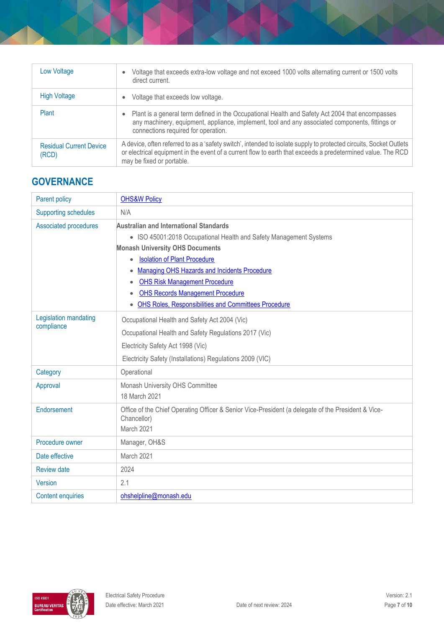| Low Voltage                             | Voltage that exceeds extra-low voltage and not exceed 1000 volts alternating current or 1500 volts<br>direct current.                                                                                                                                          |
|-----------------------------------------|----------------------------------------------------------------------------------------------------------------------------------------------------------------------------------------------------------------------------------------------------------------|
| <b>High Voltage</b>                     | Voltage that exceeds low voltage.                                                                                                                                                                                                                              |
| Plant                                   | Plant is a general term defined in the Occupational Health and Safety Act 2004 that encompasses<br>any machinery, equipment, appliance, implement, tool and any associated components, fittings or<br>connections required for operation.                      |
| <b>Residual Current Device</b><br>(RCD) | A device, often referred to as a 'safety switch', intended to isolate supply to protected circuits, Socket Outlets<br>or electrical equipment in the event of a current flow to earth that exceeds a predetermined value. The RCD<br>may be fixed or portable. |

# **GOVERNANCE**

| <b>Parent policy</b>                | <b>OHS&amp;W Policy</b>                                                                                           |  |  |  |
|-------------------------------------|-------------------------------------------------------------------------------------------------------------------|--|--|--|
| <b>Supporting schedules</b>         | N/A                                                                                                               |  |  |  |
| <b>Associated procedures</b>        | <b>Australian and International Standards</b>                                                                     |  |  |  |
|                                     | • ISO 45001:2018 Occupational Health and Safety Management Systems                                                |  |  |  |
|                                     | <b>Monash University OHS Documents</b>                                                                            |  |  |  |
|                                     | <b>Isolation of Plant Procedure</b><br>$\bullet$                                                                  |  |  |  |
|                                     | Managing OHS Hazards and Incidents Procedure<br>$\bullet$                                                         |  |  |  |
|                                     | <b>OHS Risk Management Procedure</b>                                                                              |  |  |  |
|                                     | <b>OHS Records Management Procedure</b><br><b>OHS Roles, Responsibilities and Committees Procedure</b>            |  |  |  |
|                                     | $\bullet$                                                                                                         |  |  |  |
| Legislation mandating<br>compliance | Occupational Health and Safety Act 2004 (Vic)                                                                     |  |  |  |
|                                     | Occupational Health and Safety Regulations 2017 (Vic)                                                             |  |  |  |
|                                     | Electricity Safety Act 1998 (Vic)                                                                                 |  |  |  |
|                                     | Electricity Safety (Installations) Regulations 2009 (VIC)                                                         |  |  |  |
| Category                            | Operational                                                                                                       |  |  |  |
| Approval                            | Monash University OHS Committee                                                                                   |  |  |  |
|                                     | 18 March 2021                                                                                                     |  |  |  |
| Endorsement                         | Office of the Chief Operating Officer & Senior Vice-President (a delegate of the President & Vice-<br>Chancellor) |  |  |  |
|                                     | March 2021                                                                                                        |  |  |  |
| Procedure owner                     | Manager, OH&S                                                                                                     |  |  |  |
| Date effective                      | March 2021                                                                                                        |  |  |  |
| <b>Review date</b>                  | 2024                                                                                                              |  |  |  |
| Version                             | 2.1                                                                                                               |  |  |  |
| <b>Content enquiries</b>            | ohshelpline@monash.edu                                                                                            |  |  |  |

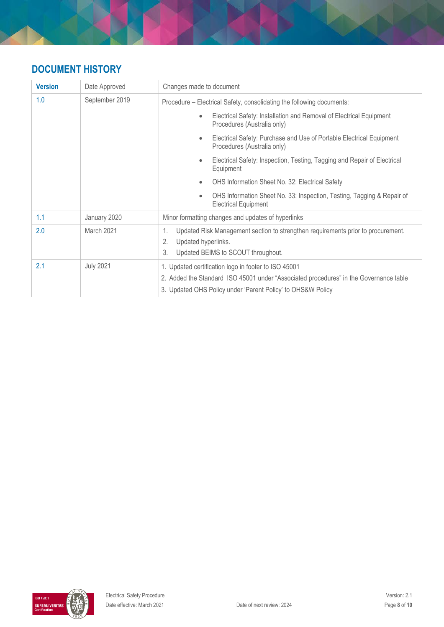# **DOCUMENT HISTORY**

| <b>Version</b> | Date Approved    | Changes made to document                                                                                                                                                                                     |  |  |
|----------------|------------------|--------------------------------------------------------------------------------------------------------------------------------------------------------------------------------------------------------------|--|--|
| 1.0            | September 2019   | Procedure – Electrical Safety, consolidating the following documents:                                                                                                                                        |  |  |
|                |                  | Electrical Safety: Installation and Removal of Electrical Equipment<br>$\bullet$<br>Procedures (Australia only)                                                                                              |  |  |
|                |                  | Electrical Safety: Purchase and Use of Portable Electrical Equipment<br>$\bullet$<br>Procedures (Australia only)                                                                                             |  |  |
|                |                  | Electrical Safety: Inspection, Testing, Tagging and Repair of Electrical<br>$\bullet$<br>Equipment                                                                                                           |  |  |
|                |                  | OHS Information Sheet No. 32: Electrical Safety<br>$\bullet$                                                                                                                                                 |  |  |
|                |                  | OHS Information Sheet No. 33: Inspection, Testing, Tagging & Repair of<br>$\bullet$<br><b>Electrical Equipment</b>                                                                                           |  |  |
| 1.1            | January 2020     | Minor formatting changes and updates of hyperlinks                                                                                                                                                           |  |  |
| 2.0            | March 2021       | Updated Risk Management section to strengthen requirements prior to procurement.<br>1.<br>2.<br>Updated hyperlinks.<br>3.<br>Updated BEIMS to SCOUT throughout.                                              |  |  |
| 2.1            | <b>July 2021</b> | 1. Updated certification logo in footer to ISO 45001<br>2. Added the Standard ISO 45001 under "Associated procedures" in the Governance table<br>3. Updated OHS Policy under 'Parent Policy' to OHS&W Policy |  |  |

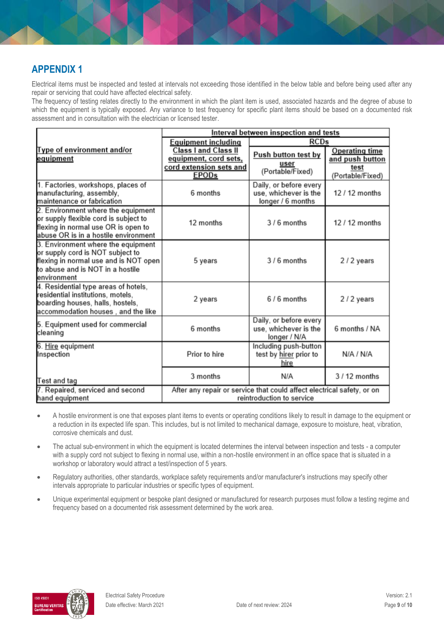### **APPENDIX 1**

Electrical items must be inspected and tested at intervals not exceeding those identified in the below table and before being used after any repair or servicing that could have affected electrical safety.

The frequency of testing relates directly to the environment in which the plant item is used, associated hazards and the degree of abuse to which the equipment is typically exposed. Any variance to test frequency for specific plant items should be based on a documented risk assessment and in consultation with the electrician or licensed tester.

|                                                                                                                                                                    | Interval between inspection and tests                                           |                                                                      |                                                  |  |
|--------------------------------------------------------------------------------------------------------------------------------------------------------------------|---------------------------------------------------------------------------------|----------------------------------------------------------------------|--------------------------------------------------|--|
|                                                                                                                                                                    | <b>Equipment including</b>                                                      | <b>RCDs</b>                                                          |                                                  |  |
| Type of environment and/or<br>equipment                                                                                                                            | <b>Class I and Class II</b><br>equipment, cord sets,<br>cord extension sets and | Push button test by<br>user                                          | <b>Operating time</b><br>and push button<br>test |  |
|                                                                                                                                                                    | <b>EPOD<sub>s</sub></b>                                                         | (Portable/Fixed)                                                     | (Portable/Fixed)                                 |  |
| 1. Factories, workshops, places of<br>manufacturing, assembly,<br>maintenance or fabrication                                                                       | 6 months                                                                        | Daily, or before every<br>use, whichever is the<br>longer / 6 months | 12 / 12 months                                   |  |
| 2. Environment where the equipment<br>or supply flexible cord is subject to<br>flexing in normal use OR is open to<br>abuse OR is in a hostile environment         | 12 months                                                                       | 3/6 months                                                           | 12 / 12 months                                   |  |
| 3. Environment where the equipment<br>or supply cord is NOT subject to<br>flexing in normal use and is NOT open<br>to abuse and is NOT in a hostile<br>environment | 5 years                                                                         | $3/6$ months                                                         | 2/2 years                                        |  |
| 4. Residential type areas of hotels,<br>residential institutions, motels,<br>boarding houses, halls, hostels,<br>accommodation houses, and the like                | 2 years                                                                         | $6/6$ months                                                         | 2/2 years                                        |  |
| 5. Equipment used for commercial<br>cleaning                                                                                                                       | 6 months                                                                        | Daily, or before every<br>use, whichever is the<br>longer / N/A      | 6 months / NA                                    |  |
| 6. <u>Hire</u> equipment<br>Inspection                                                                                                                             | Prior to hire                                                                   | Including push-button<br>test by hirer prior to<br>hire              | N/A / N/A                                        |  |
| Test and tag                                                                                                                                                       | 3 months                                                                        | N/A                                                                  | $3/12$ months                                    |  |
| 7. Repaired, serviced and second<br>After any repair or service that could affect electrical safety, or on<br>reintroduction to service<br>hand equipment          |                                                                                 |                                                                      |                                                  |  |

- A hostile environment is one that exposes plant items to events or operating conditions likely to result in damage to the equipment or a reduction in its expected life span. This includes, but is not limited to mechanical damage, exposure to moisture, heat, vibration, corrosive chemicals and dust.
- The actual sub-environment in which the equipment is located determines the interval between inspection and tests a computer with a supply cord not subject to flexing in normal use, within a non-hostile environment in an office space that is situated in a workshop or laboratory would attract a test/inspection of 5 years.
- Regulatory authorities, other standards, workplace safety requirements and/or manufacturer's instructions may specify other intervals appropriate to particular industries or specific types of equipment.
- Unique experimental equipment or bespoke plant designed or manufactured for research purposes must follow a testing regime and frequency based on a documented risk assessment determined by the work area.